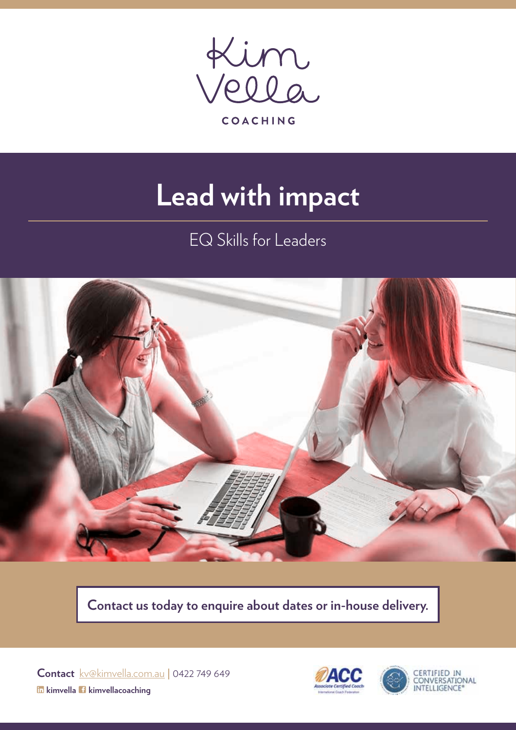

COACHING

# **Lead with impact**

EQ Skills for Leaders



**Contact us today to enquire about dates or in-house delivery.**

**Contact** kv@kimvella.com.au **|** 0422 749 649 **kimvella kimvellacoaching**